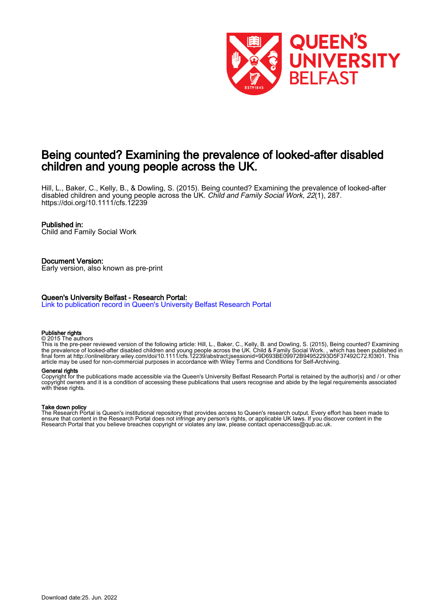

# Being counted? Examining the prevalence of looked-after disabled children and young people across the UK.

Hill, L., Baker, C., Kelly, B., & Dowling, S. (2015). Being counted? Examining the prevalence of looked-after disabled children and young people across the UK. Child and Family Social Work, 22(1), 287. <https://doi.org/10.1111/cfs.12239>

### Published in:

Child and Family Social Work

### Document Version:

Early version, also known as pre-print

### Queen's University Belfast - Research Portal:

[Link to publication record in Queen's University Belfast Research Portal](https://pure.qub.ac.uk/en/publications/eb0a687a-55ae-417b-a705-6747d82f40b3)

#### Publisher rights

© 2015 The authors

This is the pre-peer reviewed version of the following article: Hill, L., Baker, C., Kelly, B. and Dowling, S. (2015), Being counted? Examining the prevalence of looked-after disabled children and young people across the UK. Child & Family Social Work. , which has been published in final form at http://onlinelibrary.wiley.com/doi/10.1111/cfs.12239/abstract;jsessionid=9D693BE09972B94952293D5F37492C72.f03t01. This article may be used for non-commercial purposes in accordance with Wiley Terms and Conditions for Self-Archiving.

#### General rights

Copyright for the publications made accessible via the Queen's University Belfast Research Portal is retained by the author(s) and / or other copyright owners and it is a condition of accessing these publications that users recognise and abide by the legal requirements associated with these rights.

### Take down policy

The Research Portal is Queen's institutional repository that provides access to Queen's research output. Every effort has been made to ensure that content in the Research Portal does not infringe any person's rights, or applicable UK laws. If you discover content in the Research Portal that you believe breaches copyright or violates any law, please contact openaccess@qub.ac.uk.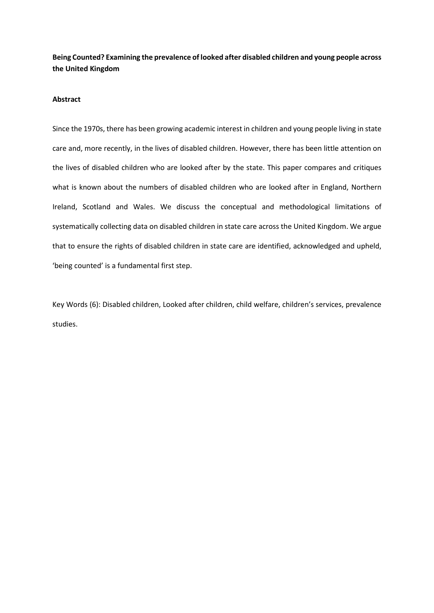**Being Counted? Examining the prevalence of looked after disabled children and young people across the United Kingdom** 

### **Abstract**

Since the 1970s, there has been growing academic interest in children and young people living in state care and, more recently, in the lives of disabled children. However, there has been little attention on the lives of disabled children who are looked after by the state. This paper compares and critiques what is known about the numbers of disabled children who are looked after in England, Northern Ireland, Scotland and Wales. We discuss the conceptual and methodological limitations of systematically collecting data on disabled children in state care across the United Kingdom. We argue that to ensure the rights of disabled children in state care are identified, acknowledged and upheld, 'being counted' is a fundamental first step.

Key Words (6): Disabled children, Looked after children, child welfare, children's services, prevalence studies.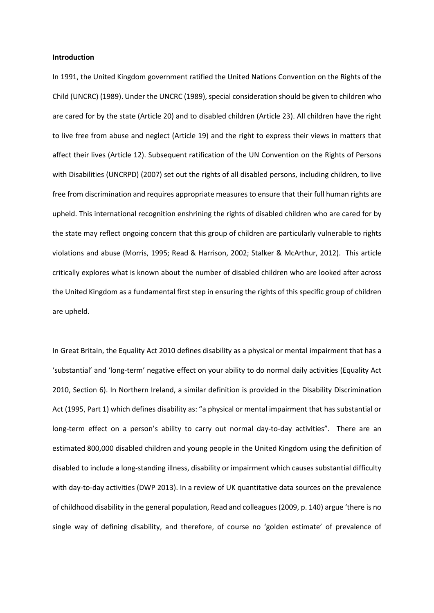### **Introduction**

In 1991, the United Kingdom government ratified the United Nations Convention on the Rights of the Child (UNCRC) (1989). Under the UNCRC (1989), special consideration should be given to children who are cared for by the state (Article 20) and to disabled children (Article 23). All children have the right to live free from abuse and neglect (Article 19) and the right to express their views in matters that affect their lives (Article 12). Subsequent ratification of the UN Convention on the Rights of Persons with Disabilities (UNCRPD) (2007) set out the rights of all disabled persons, including children, to live free from discrimination and requires appropriate measures to ensure that their full human rights are upheld. This international recognition enshrining the rights of disabled children who are cared for by the state may reflect ongoing concern that this group of children are particularly vulnerable to rights violations and abuse (Morris, 1995; Read & Harrison, 2002; Stalker & McArthur, 2012). This article critically explores what is known about the number of disabled children who are looked after across the United Kingdom as a fundamental first step in ensuring the rights of this specific group of children are upheld.

In Great Britain, the Equality Act 2010 defines disability as a physical or mental impairment that has a 'substantial' and 'long-term' negative effect on your ability to do normal daily activities (Equality Act 2010, Section 6). In Northern Ireland, a similar definition is provided in the Disability Discrimination Act (1995, Part 1) which defines disability as: "a physical or mental impairment that has substantial or long-term effect on a person's ability to carry out normal day-to-day activities". There are an estimated 800,000 disabled children and young people in the United Kingdom using the definition of disabled to include a long-standing illness, disability or impairment which causes substantial difficulty with day-to-day activities (DWP 2013). In a review of UK quantitative data sources on the prevalence of childhood disability in the general population, Read and colleagues (2009, p. 140) argue 'there is no single way of defining disability, and therefore, of course no 'golden estimate' of prevalence of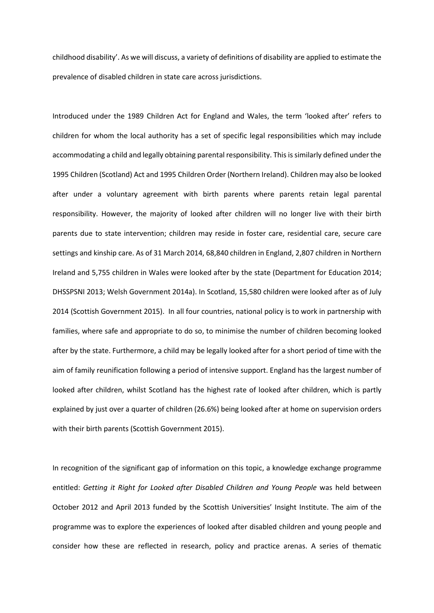childhood disability'. As we will discuss, a variety of definitions of disability are applied to estimate the prevalence of disabled children in state care across jurisdictions.

Introduced under the 1989 Children Act for England and Wales, the term 'looked after' refers to children for whom the local authority has a set of specific legal responsibilities which may include accommodating a child and legally obtaining parental responsibility. This is similarly defined under the 1995 Children (Scotland) Act and 1995 Children Order (Northern Ireland). Children may also be looked after under a voluntary agreement with birth parents where parents retain legal parental responsibility. However, the majority of looked after children will no longer live with their birth parents due to state intervention; children may reside in foster care, residential care, secure care settings and kinship care. As of 31 March 2014, 68,840 children in England, 2,807 children in Northern Ireland and 5,755 children in Wales were looked after by the state (Department for Education 2014; DHSSPSNI 2013; Welsh Government 2014a). In Scotland, 15,580 children were looked after as of July 2014 (Scottish Government 2015). In all four countries, national policy is to work in partnership with families, where safe and appropriate to do so, to minimise the number of children becoming looked after by the state. Furthermore, a child may be legally looked after for a short period of time with the aim of family reunification following a period of intensive support. England has the largest number of looked after children, whilst Scotland has the highest rate of looked after children, which is partly explained by just over a quarter of children (26.6%) being looked after at home on supervision orders with their birth parents (Scottish Government 2015).

In recognition of the significant gap of information on this topic, a knowledge exchange programme entitled: *Getting it Right for Looked after Disabled Children and Young People* was held between October 2012 and April 2013 funded by the Scottish Universities' Insight Institute. The aim of the programme was to explore the experiences of looked after disabled children and young people and consider how these are reflected in research, policy and practice arenas. A series of thematic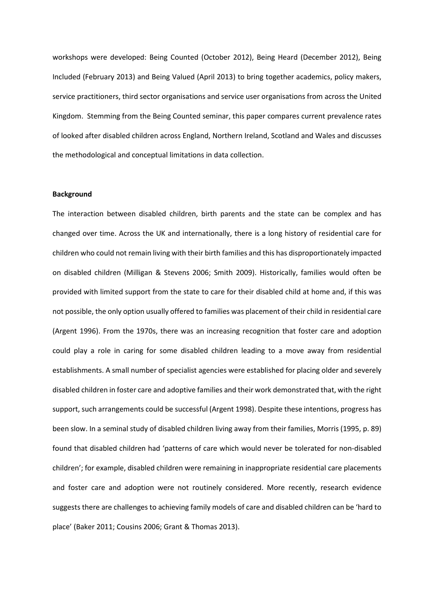workshops were developed: Being Counted (October 2012), Being Heard (December 2012), Being Included (February 2013) and Being Valued (April 2013) to bring together academics, policy makers, service practitioners, third sector organisations and service user organisations from across the United Kingdom. Stemming from the Being Counted seminar, this paper compares current prevalence rates of looked after disabled children across England, Northern Ireland, Scotland and Wales and discusses the methodological and conceptual limitations in data collection.

### **Background**

The interaction between disabled children, birth parents and the state can be complex and has changed over time. Across the UK and internationally, there is a long history of residential care for children who could not remain living with their birth families and this has disproportionately impacted on disabled children (Milligan & Stevens 2006; Smith 2009). Historically, families would often be provided with limited support from the state to care for their disabled child at home and, if this was not possible, the only option usually offered to families was placement of their child in residential care (Argent 1996). From the 1970s, there was an increasing recognition that foster care and adoption could play a role in caring for some disabled children leading to a move away from residential establishments. A small number of specialist agencies were established for placing older and severely disabled children in foster care and adoptive families and their work demonstrated that, with the right support, such arrangements could be successful (Argent 1998). Despite these intentions, progress has been slow. In a seminal study of disabled children living away from their families, Morris (1995, p. 89) found that disabled children had 'patterns of care which would never be tolerated for non-disabled children'; for example, disabled children were remaining in inappropriate residential care placements and foster care and adoption were not routinely considered. More recently, research evidence suggests there are challenges to achieving family models of care and disabled children can be 'hard to place' (Baker 2011; Cousins 2006; Grant & Thomas 2013).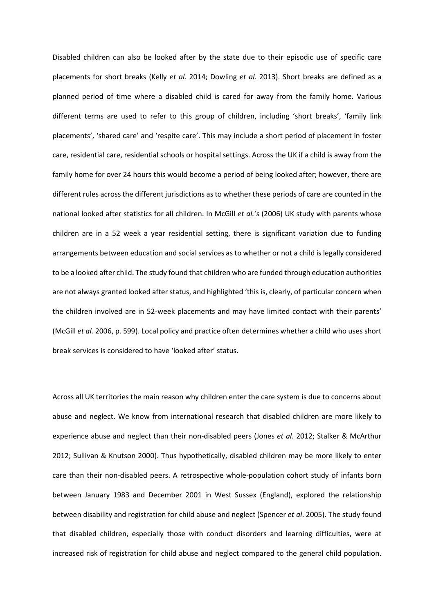Disabled children can also be looked after by the state due to their episodic use of specific care placements for short breaks (Kelly *et al.* 2014; Dowling *et al*. 2013). Short breaks are defined as a planned period of time where a disabled child is cared for away from the family home. Various different terms are used to refer to this group of children, including 'short breaks', 'family link placements', 'shared care' and 'respite care'. This may include a short period of placement in foster care, residential care, residential schools or hospital settings. Across the UK if a child is away from the family home for over 24 hours this would become a period of being looked after; however, there are different rules across the different jurisdictions as to whether these periods of care are counted in the national looked after statistics for all children. In McGill *et al.'s* (2006) UK study with parents whose children are in a 52 week a year residential setting, there is significant variation due to funding arrangements between education and social services as to whether or not a child is legally considered to be a looked after child. The study found that children who are funded through education authorities are not always granted looked after status, and highlighted 'this is, clearly, of particular concern when the children involved are in 52-week placements and may have limited contact with their parents' (McGill *et al.* 2006, p. 599). Local policy and practice often determines whether a child who uses short break services is considered to have 'looked after' status.

Across all UK territories the main reason why children enter the care system is due to concerns about abuse and neglect. We know from international research that disabled children are more likely to experience abuse and neglect than their non-disabled peers (Jones *et al*. 2012; Stalker & McArthur 2012; Sullivan & Knutson 2000). Thus hypothetically, disabled children may be more likely to enter care than their non-disabled peers. A retrospective whole-population cohort study of infants born between January 1983 and December 2001 in West Sussex (England), explored the relationship between disability and registration for child abuse and neglect (Spencer *et al*. 2005). The study found that disabled children, especially those with conduct disorders and learning difficulties, were at increased risk of registration for child abuse and neglect compared to the general child population.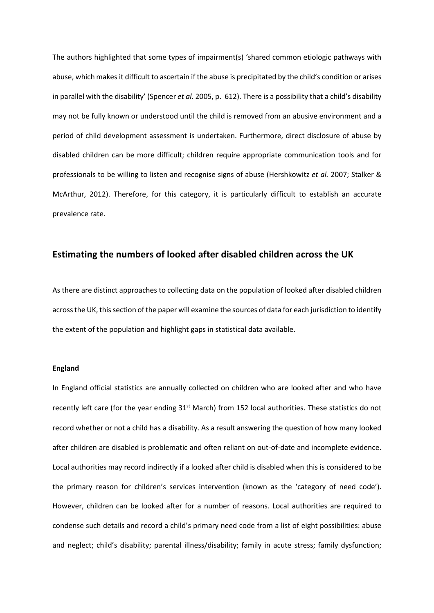The authors highlighted that some types of impairment(s) 'shared common etiologic pathways with abuse, which makes it difficult to ascertain if the abuse is precipitated by the child's condition or arises in parallel with the disability' (Spencer *et al*. 2005, p. 612). There is a possibility that a child's disability may not be fully known or understood until the child is removed from an abusive environment and a period of child development assessment is undertaken. Furthermore, direct disclosure of abuse by disabled children can be more difficult; children require appropriate communication tools and for professionals to be willing to listen and recognise signs of abuse (Hershkowitz *et al.* 2007; Stalker & McArthur, 2012). Therefore, for this category, it is particularly difficult to establish an accurate prevalence rate.

## **Estimating the numbers of looked after disabled children across the UK**

As there are distinct approaches to collecting data on the population of looked after disabled children across the UK, this section of the paper will examine the sources of data for each jurisdiction to identify the extent of the population and highlight gaps in statistical data available.

### **England**

In England official statistics are annually collected on children who are looked after and who have recently left care (for the year ending  $31<sup>st</sup>$  March) from 152 local authorities. These statistics do not record whether or not a child has a disability. As a result answering the question of how many looked after children are disabled is problematic and often reliant on out-of-date and incomplete evidence. Local authorities may record indirectly if a looked after child is disabled when this is considered to be the primary reason for children's services intervention (known as the 'category of need code'). However, children can be looked after for a number of reasons. Local authorities are required to condense such details and record a child's primary need code from a list of eight possibilities: abuse and neglect; child's disability; parental illness/disability; family in acute stress; family dysfunction;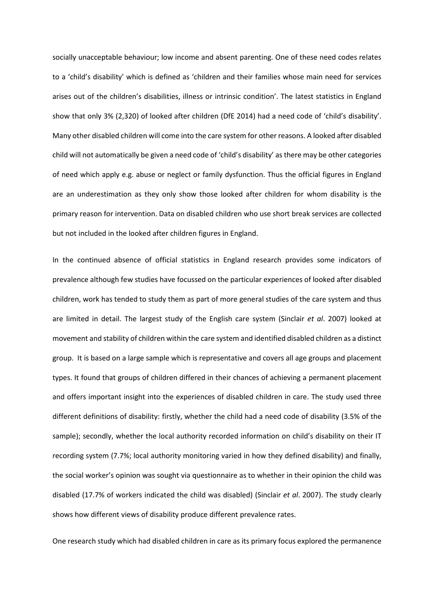socially unacceptable behaviour; low income and absent parenting. One of these need codes relates to a 'child's disability' which is defined as 'children and their families whose main need for services arises out of the children's disabilities, illness or intrinsic condition'. The latest statistics in England show that only 3% (2,320) of looked after children (DfE 2014) had a need code of 'child's disability'. Many other disabled children will come into the care system for other reasons. A looked after disabled child will not automatically be given a need code of 'child's disability' as there may be other categories of need which apply e.g. abuse or neglect or family dysfunction. Thus the official figures in England are an underestimation as they only show those looked after children for whom disability is the primary reason for intervention. Data on disabled children who use short break services are collected but not included in the looked after children figures in England.

In the continued absence of official statistics in England research provides some indicators of prevalence although few studies have focussed on the particular experiences of looked after disabled children, work has tended to study them as part of more general studies of the care system and thus are limited in detail. The largest study of the English care system (Sinclair *et al*. 2007) looked at movement and stability of children within the care system and identified disabled children as a distinct group. It is based on a large sample which is representative and covers all age groups and placement types. It found that groups of children differed in their chances of achieving a permanent placement and offers important insight into the experiences of disabled children in care. The study used three different definitions of disability: firstly, whether the child had a need code of disability (3.5% of the sample); secondly, whether the local authority recorded information on child's disability on their IT recording system (7.7%; local authority monitoring varied in how they defined disability) and finally, the social worker's opinion was sought via questionnaire as to whether in their opinion the child was disabled (17.7% of workers indicated the child was disabled) (Sinclair *et al*. 2007). The study clearly shows how different views of disability produce different prevalence rates.

One research study which had disabled children in care as its primary focus explored the permanence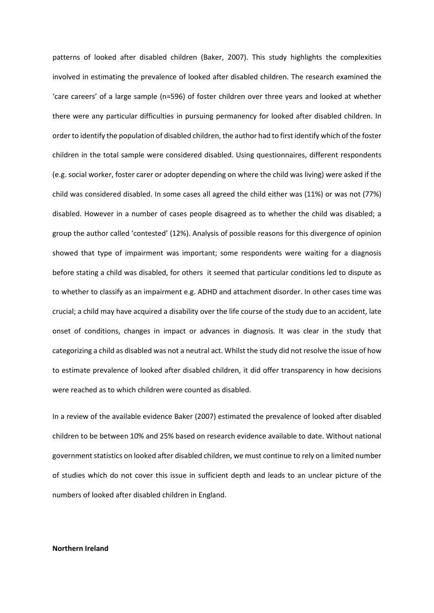patterns of looked after disabled children (Baker, 2007). This study highlights the complexities involved in estimating the prevalence of looked after disabled children. The research examined the 'care careers' of a large sample (n=596) of foster children over three years and looked at whether there were any particular difficulties in pursuing permanency for looked after disabled children. In order to identify the population of disabled children, the author had to first identify which of the foster children in the total sample were considered disabled. Using questionnaires, different respondents (e.g. social worker, foster carer or adopter depending on where the child was living) were asked if the child was considered disabled. In some cases all agreed the child either was (11%) or was not (77%) disabled. However in a number of cases people disagreed as to whether the child was disabled; a group the author called 'contested' (12%). Analysis of possible reasons for this divergence of opinion showed that type of impairment was important; some respondents were waiting for a diagnosis before stating a child was disabled, for others it seemed that particular conditions led to dispute as to whether to classify as an impairment e.g. ADHD and attachment disorder. In other cases time was crucial; a child may have acquired a disability over the life course of the study due to an accident, late onset of conditions, changes in impact or advances in diagnosis. It was clear in the study that categorizing a child as disabled was not a neutral act. Whilst the study did not resolve the issue of how to estimate prevalence of looked after disabled children, it did offer transparency in how decisions were reached as to which children were counted as disabled.

In a review of the available evidence Baker (2007) estimated the prevalence of looked after disabled children to be between 10% and 25% based on research evidence available to date. Without national government statistics on looked after disabled children, we must continue to rely on a limited number of studies which do not cover this issue in sufficient depth and leads to an unclear picture of the numbers of looked after disabled children in England.

### **Northern Ireland**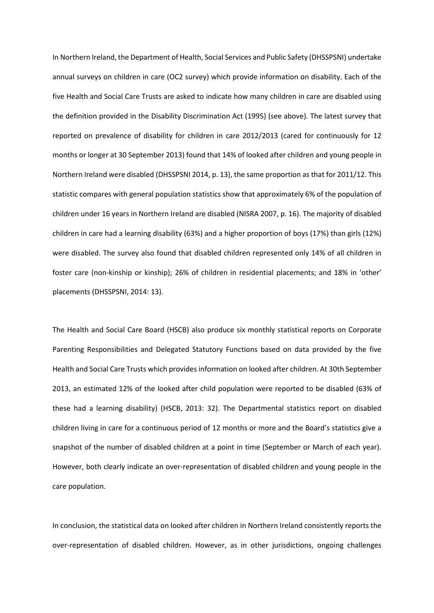In Northern Ireland, the Department of Health, Social Services and Public Safety (DHSSPSNI) undertake annual surveys on children in care (OC2 survey) which provide information on disability. Each of the five Health and Social Care Trusts are asked to indicate how many children in care are disabled using the definition provided in the Disability Discrimination Act (1995) (see above)*.* The latest survey that reported on prevalence of disability for children in care 2012/2013 (cared for continuously for 12 months or longer at 30 September 2013) found that 14% of looked after children and young people in Northern Ireland were disabled (DHSSPSNI 2014, p. 13), the same proportion as that for 2011/12. This statistic compares with general population statistics show that approximately 6% of the population of children under 16 years in Northern Ireland are disabled (NISRA 2007, p. 16). The majority of disabled children in care had a learning disability (63%) and a higher proportion of boys (17%) than girls (12%) were disabled. The survey also found that disabled children represented only 14% of all children in foster care (non-kinship or kinship); 26% of children in residential placements; and 18% in 'other' placements (DHSSPSNI, 2014: 13).

The Health and Social Care Board (HSCB) also produce six monthly statistical reports on Corporate Parenting Responsibilities and Delegated Statutory Functions based on data provided by the five Health and Social Care Trusts which provides information on looked after children. At 30th September 2013, an estimated 12% of the looked after child population were reported to be disabled (63% of these had a learning disability) (HSCB, 2013: 32). The Departmental statistics report on disabled children living in care for a continuous period of 12 months or more and the Board's statistics give a snapshot of the number of disabled children at a point in time (September or March of each year). However, both clearly indicate an over-representation of disabled children and young people in the care population.

In conclusion, the statistical data on looked after children in Northern Ireland consistently reports the over-representation of disabled children. However, as in other jurisdictions, ongoing challenges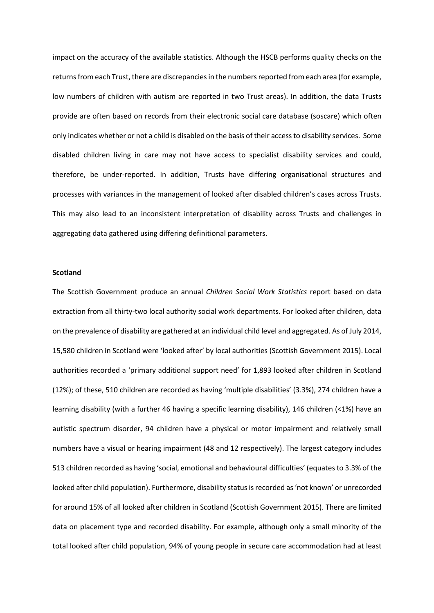impact on the accuracy of the available statistics. Although the HSCB performs quality checks on the returns from each Trust, there are discrepancies in the numbers reported from each area (for example, low numbers of children with autism are reported in two Trust areas). In addition, the data Trusts provide are often based on records from their electronic social care database (soscare) which often only indicates whether or not a child is disabled on the basis of their access to disability services. Some disabled children living in care may not have access to specialist disability services and could, therefore, be under-reported. In addition, Trusts have differing organisational structures and processes with variances in the management of looked after disabled children's cases across Trusts. This may also lead to an inconsistent interpretation of disability across Trusts and challenges in aggregating data gathered using differing definitional parameters.

### **Scotland**

The Scottish Government produce an annual *Children Social Work Statistics* report based on data extraction from all thirty-two local authority social work departments. For looked after children, data on the prevalence of disability are gathered at an individual child level and aggregated. As of July 2014, 15,580 children in Scotland were 'looked after' by local authorities (Scottish Government 2015). Local authorities recorded a 'primary additional support need' for 1,893 looked after children in Scotland (12%); of these, 510 children are recorded as having 'multiple disabilities' (3.3%), 274 children have a learning disability (with a further 46 having a specific learning disability), 146 children (<1%) have an autistic spectrum disorder, 94 children have a physical or motor impairment and relatively small numbers have a visual or hearing impairment (48 and 12 respectively). The largest category includes 513 children recorded as having 'social, emotional and behavioural difficulties' (equates to 3.3% of the looked after child population). Furthermore, disability status is recorded as 'not known' or unrecorded for around 15% of all looked after children in Scotland (Scottish Government 2015). There are limited data on placement type and recorded disability. For example, although only a small minority of the total looked after child population, 94% of young people in secure care accommodation had at least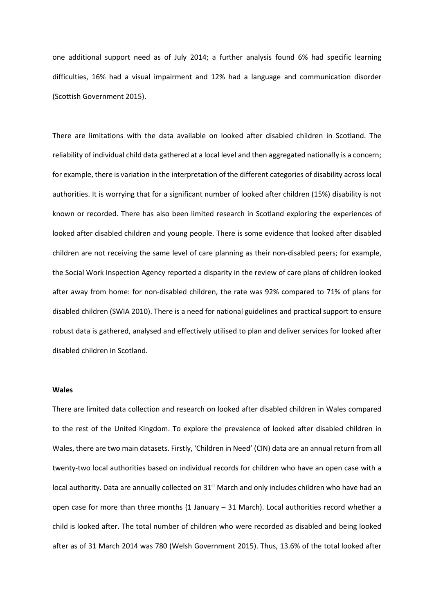one additional support need as of July 2014; a further analysis found 6% had specific learning difficulties, 16% had a visual impairment and 12% had a language and communication disorder (Scottish Government 2015).

There are limitations with the data available on looked after disabled children in Scotland. The reliability of individual child data gathered at a local level and then aggregated nationally is a concern; for example, there is variation in the interpretation of the different categories of disability across local authorities. It is worrying that for a significant number of looked after children (15%) disability is not known or recorded. There has also been limited research in Scotland exploring the experiences of looked after disabled children and young people. There is some evidence that looked after disabled children are not receiving the same level of care planning as their non-disabled peers; for example, the Social Work Inspection Agency reported a disparity in the review of care plans of children looked after away from home: for non-disabled children, the rate was 92% compared to 71% of plans for disabled children (SWIA 2010). There is a need for national guidelines and practical support to ensure robust data is gathered, analysed and effectively utilised to plan and deliver services for looked after disabled children in Scotland.

### **Wales**

There are limited data collection and research on looked after disabled children in Wales compared to the rest of the United Kingdom. To explore the prevalence of looked after disabled children in Wales, there are two main datasets. Firstly, 'Children in Need' (CIN) data are an annual return from all twenty-two local authorities based on individual records for children who have an open case with a local authority. Data are annually collected on 31<sup>st</sup> March and only includes children who have had an open case for more than three months (1 January – 31 March). Local authorities record whether a child is looked after. The total number of children who were recorded as disabled and being looked after as of 31 March 2014 was 780 (Welsh Government 2015). Thus, 13.6% of the total looked after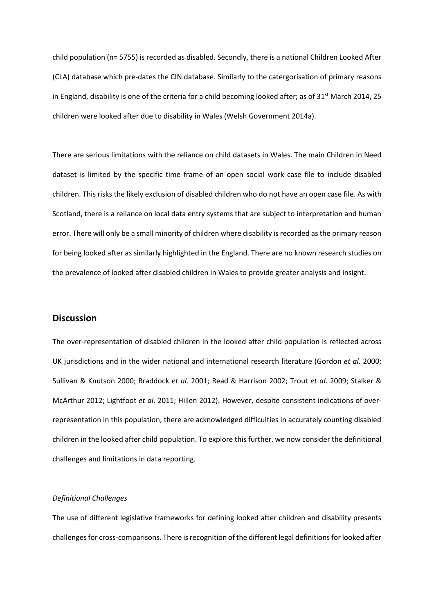child population (n= 5755) is recorded as disabled. Secondly, there is a national Children Looked After (CLA) database which pre-dates the CIN database. Similarly to the catergorisation of primary reasons in England, disability is one of the criteria for a child becoming looked after; as of  $31<sup>st</sup>$  March 2014, 25 children were looked after due to disability in Wales (Welsh Government 2014a).

There are serious limitations with the reliance on child datasets in Wales. The main Children in Need dataset is limited by the specific time frame of an open social work case file to include disabled children. This risks the likely exclusion of disabled children who do not have an open case file. As with Scotland, there is a reliance on local data entry systems that are subject to interpretation and human error. There will only be a small minority of children where disability is recorded as the primary reason for being looked after as similarly highlighted in the England. There are no known research studies on the prevalence of looked after disabled children in Wales to provide greater analysis and insight.

### **Discussion**

The over-representation of disabled children in the looked after child population is reflected across UK jurisdictions and in the wider national and international research literature (Gordon *et al*. 2000; Sullivan & Knutson 2000; Braddock *et al*. 2001; Read & Harrison 2002; Trout *et al*. 2009; Stalker & McArthur 2012; Lightfoot *et al*. 2011; Hillen 2012). However, despite consistent indications of overrepresentation in this population, there are acknowledged difficulties in accurately counting disabled children in the looked after child population. To explore this further, we now consider the definitional challenges and limitations in data reporting.

### *Definitional Challenges*

The use of different legislative frameworks for defining looked after children and disability presents challenges for cross-comparisons. There is recognition of the different legal definitions for looked after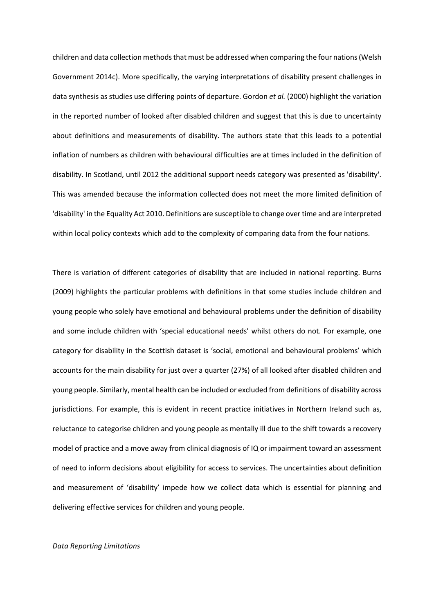children and data collection methods that must be addressed when comparing the four nations (Welsh Government 2014c). More specifically, the varying interpretations of disability present challenges in data synthesis as studies use differing points of departure. Gordon *et al.* (2000) highlight the variation in the reported number of looked after disabled children and suggest that this is due to uncertainty about definitions and measurements of disability. The authors state that this leads to a potential inflation of numbers as children with behavioural difficulties are at times included in the definition of disability. In Scotland, until 2012 the additional support needs category was presented as 'disability'. This was amended because the information collected does not meet the more limited definition of 'disability' in the Equality Act 2010. Definitions are susceptible to change over time and are interpreted within local policy contexts which add to the complexity of comparing data from the four nations.

There is variation of different categories of disability that are included in national reporting. Burns (2009) highlights the particular problems with definitions in that some studies include children and young people who solely have emotional and behavioural problems under the definition of disability and some include children with 'special educational needs' whilst others do not. For example, one category for disability in the Scottish dataset is 'social, emotional and behavioural problems' which accounts for the main disability for just over a quarter (27%) of all looked after disabled children and young people. Similarly, mental health can be included or excluded from definitions of disability across jurisdictions. For example, this is evident in recent practice initiatives in Northern Ireland such as, reluctance to categorise children and young people as mentally ill due to the shift towards a recovery model of practice and a move away from clinical diagnosis of IQ or impairment toward an assessment of need to inform decisions about eligibility for access to services. The uncertainties about definition and measurement of 'disability' impede how we collect data which is essential for planning and delivering effective services for children and young people.

### *Data Reporting Limitations*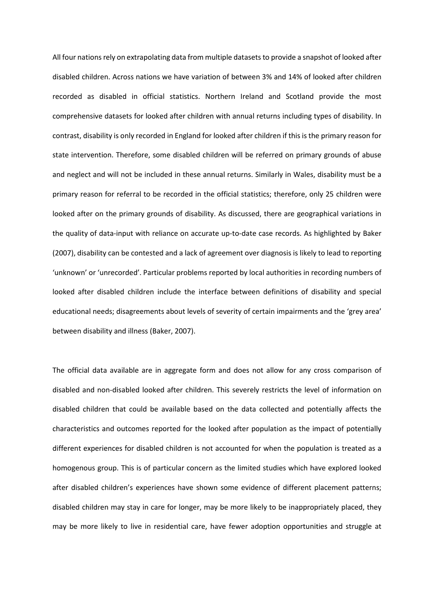All four nations rely on extrapolating data from multiple datasets to provide a snapshot of looked after disabled children. Across nations we have variation of between 3% and 14% of looked after children recorded as disabled in official statistics. Northern Ireland and Scotland provide the most comprehensive datasets for looked after children with annual returns including types of disability. In contrast, disability is only recorded in England for looked after children if this is the primary reason for state intervention. Therefore, some disabled children will be referred on primary grounds of abuse and neglect and will not be included in these annual returns. Similarly in Wales, disability must be a primary reason for referral to be recorded in the official statistics; therefore, only 25 children were looked after on the primary grounds of disability. As discussed, there are geographical variations in the quality of data-input with reliance on accurate up-to-date case records. As highlighted by Baker (2007), disability can be contested and a lack of agreement over diagnosis is likely to lead to reporting 'unknown' or 'unrecorded'. Particular problems reported by local authorities in recording numbers of looked after disabled children include the interface between definitions of disability and special educational needs; disagreements about levels of severity of certain impairments and the 'grey area' between disability and illness (Baker, 2007).

The official data available are in aggregate form and does not allow for any cross comparison of disabled and non-disabled looked after children. This severely restricts the level of information on disabled children that could be available based on the data collected and potentially affects the characteristics and outcomes reported for the looked after population as the impact of potentially different experiences for disabled children is not accounted for when the population is treated as a homogenous group. This is of particular concern as the limited studies which have explored looked after disabled children's experiences have shown some evidence of different placement patterns; disabled children may stay in care for longer, may be more likely to be inappropriately placed, they may be more likely to live in residential care, have fewer adoption opportunities and struggle at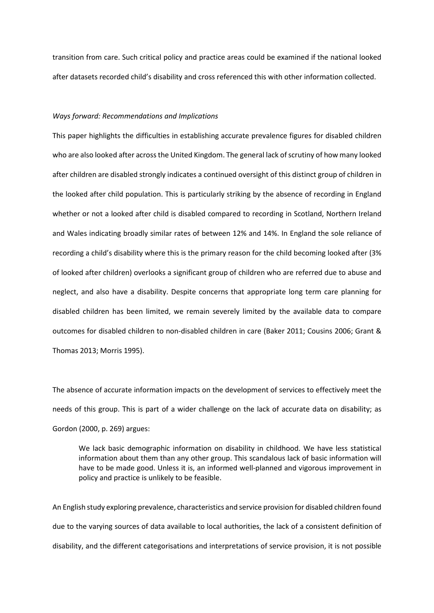transition from care. Such critical policy and practice areas could be examined if the national looked after datasets recorded child's disability and cross referenced this with other information collected.

### *Ways forward: Recommendations and Implications*

This paper highlights the difficulties in establishing accurate prevalence figures for disabled children who are also looked after across the United Kingdom. The general lack of scrutiny of how many looked after children are disabled strongly indicates a continued oversight of this distinct group of children in the looked after child population. This is particularly striking by the absence of recording in England whether or not a looked after child is disabled compared to recording in Scotland, Northern Ireland and Wales indicating broadly similar rates of between 12% and 14%. In England the sole reliance of recording a child's disability where this is the primary reason for the child becoming looked after (3% of looked after children) overlooks a significant group of children who are referred due to abuse and neglect, and also have a disability. Despite concerns that appropriate long term care planning for disabled children has been limited, we remain severely limited by the available data to compare outcomes for disabled children to non-disabled children in care (Baker 2011; Cousins 2006; Grant & Thomas 2013; Morris 1995).

The absence of accurate information impacts on the development of services to effectively meet the needs of this group. This is part of a wider challenge on the lack of accurate data on disability; as Gordon (2000, p. 269) argues:

We lack basic demographic information on disability in childhood. We have less statistical information about them than any other group. This scandalous lack of basic information will have to be made good. Unless it is, an informed well-planned and vigorous improvement in policy and practice is unlikely to be feasible.

An English study exploring prevalence, characteristics and service provision for disabled children found due to the varying sources of data available to local authorities, the lack of a consistent definition of disability, and the different categorisations and interpretations of service provision, it is not possible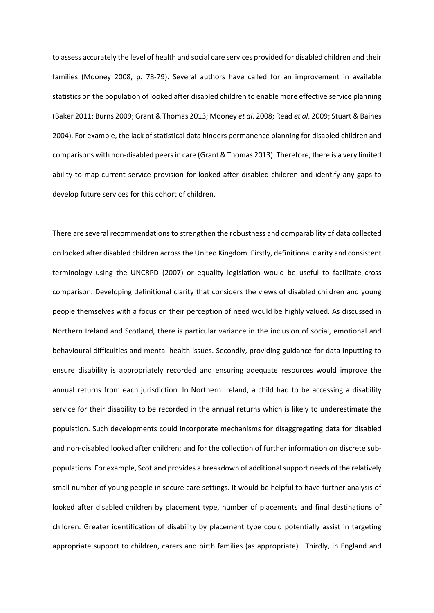to assess accurately the level of health and social care services provided for disabled children and their families (Mooney 2008, p. 78-79). Several authors have called for an improvement in available statistics on the population of looked after disabled children to enable more effective service planning (Baker 2011; Burns 2009; Grant & Thomas 2013; Mooney *et al*. 2008; Read *et al*. 2009; Stuart & Baines 2004). For example, the lack of statistical data hinders permanence planning for disabled children and comparisons with non-disabled peers in care (Grant & Thomas 2013). Therefore, there is a very limited ability to map current service provision for looked after disabled children and identify any gaps to develop future services for this cohort of children.

There are several recommendations to strengthen the robustness and comparability of data collected on looked after disabled children across the United Kingdom. Firstly, definitional clarity and consistent terminology using the UNCRPD (2007) or equality legislation would be useful to facilitate cross comparison. Developing definitional clarity that considers the views of disabled children and young people themselves with a focus on their perception of need would be highly valued. As discussed in Northern Ireland and Scotland, there is particular variance in the inclusion of social, emotional and behavioural difficulties and mental health issues. Secondly, providing guidance for data inputting to ensure disability is appropriately recorded and ensuring adequate resources would improve the annual returns from each jurisdiction. In Northern Ireland, a child had to be accessing a disability service for their disability to be recorded in the annual returns which is likely to underestimate the population. Such developments could incorporate mechanisms for disaggregating data for disabled and non-disabled looked after children; and for the collection of further information on discrete subpopulations. For example, Scotland provides a breakdown of additional support needs of the relatively small number of young people in secure care settings. It would be helpful to have further analysis of looked after disabled children by placement type, number of placements and final destinations of children. Greater identification of disability by placement type could potentially assist in targeting appropriate support to children, carers and birth families (as appropriate). Thirdly, in England and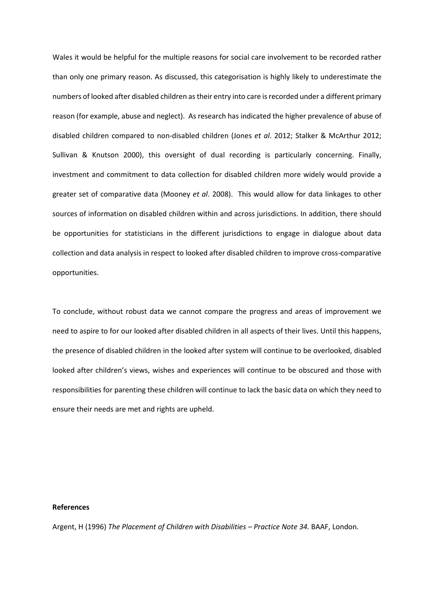Wales it would be helpful for the multiple reasons for social care involvement to be recorded rather than only one primary reason. As discussed, this categorisation is highly likely to underestimate the numbers of looked after disabled children as their entry into care is recorded under a different primary reason (for example, abuse and neglect). As research has indicated the higher prevalence of abuse of disabled children compared to non-disabled children (Jones *et al*. 2012; Stalker & McArthur 2012; Sullivan & Knutson 2000), this oversight of dual recording is particularly concerning. Finally, investment and commitment to data collection for disabled children more widely would provide a greater set of comparative data (Mooney *et al*. 2008). This would allow for data linkages to other sources of information on disabled children within and across jurisdictions. In addition, there should be opportunities for statisticians in the different jurisdictions to engage in dialogue about data collection and data analysis in respect to looked after disabled children to improve cross-comparative opportunities.

To conclude, without robust data we cannot compare the progress and areas of improvement we need to aspire to for our looked after disabled children in all aspects of their lives. Until this happens, the presence of disabled children in the looked after system will continue to be overlooked, disabled looked after children's views, wishes and experiences will continue to be obscured and those with responsibilities for parenting these children will continue to lack the basic data on which they need to ensure their needs are met and rights are upheld.

### **References**

Argent, H (1996) *The Placement of Children with Disabilities – Practice Note 34.* BAAF, London.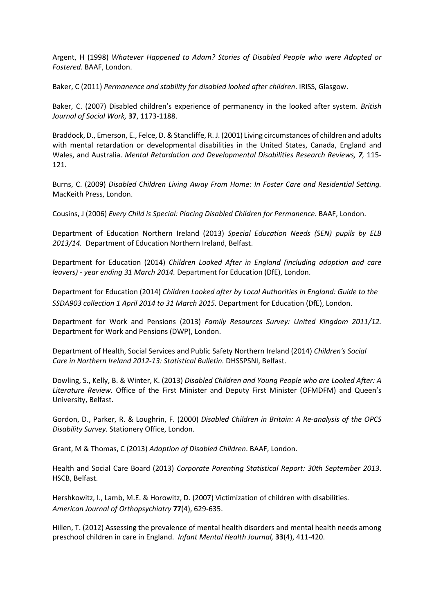Argent, H (1998) *Whatever Happened to Adam? Stories of Disabled People who were Adopted or Fostered*. BAAF, London.

Baker, C (2011) *Permanence and stability for disabled looked after children*. IRISS, Glasgow.

Baker, C. (2007) Disabled children's experience of permanency in the looked after system. *British Journal of Social Work,* **37**, 1173-1188.

Braddock, D., Emerson, E., Felce, D. & Stancliffe, R. J. (2001) Living circumstances of children and adults with mental retardation or developmental disabilities in the United States, Canada, England and Wales, and Australia. *Mental Retardation and Developmental Disabilities Research Reviews, 7,* 115- 121.

Burns, C. (2009) *Disabled Children Living Away From Home: In Foster Care and Residential Setting.*  MacKeith Press, London.

Cousins, J (2006) *Every Child is Special: Placing Disabled Children for Permanence*. BAAF, London.

Department of Education Northern Ireland (2013) *Special Education Needs (SEN) pupils by ELB 2013/14.* Department of Education Northern Ireland, Belfast.

Department for Education (2014) *Children Looked After in England (including adoption and care leavers) - year ending 31 March 2014.* Department for Education (DfE), London.

Department for Education (2014) *Children Looked after by Local Authorities in England: Guide to the SSDA903 collection 1 April 2014 to 31 March 2015.* Department for Education (DfE), London.

Department for Work and Pensions (2013) *[Family Resources Survey: United Kingdom 2011/12.](https://www.gov.uk/government/uploads/system/uploads/attachment_data/file/206887/frs_2011_12_report.pdf)* Department for Work and Pensions (DWP), London.

Department of Health, Social Services and Public Safety Northern Ireland (2014) *Children's Social Care in Northern Ireland 2012-13: Statistical Bulletin.* DHSSPSNI, Belfast.

Dowling, S., Kelly, B. & Winter, K. (2013) *Disabled Children and Young People who are Looked After: A Literature Review.* Office of the First Minister and Deputy First Minister (OFMDFM) and Queen's University, Belfast.

Gordon, D., Parker, R. & Loughrin, F. (2000) *Disabled Children in Britain: A Re-analysis of the OPCS Disability Survey.* Stationery Office, London.

Grant, M & Thomas, C (2013) *Adoption of Disabled Children*. BAAF, London.

Health and Social Care Board (2013) *Corporate Parenting Statistical Report: 30th September 2013*. HSCB, Belfast.

Hershkowitz, I., Lamb, M.E. & Horowitz, D. (2007) Victimization of children with disabilities. *American Journal of Orthopsychiatry* **77**(4), 629-635.

Hillen, T. (2012) Assessing the prevalence of mental health disorders and mental health needs among preschool children in care in England. *Infant Mental Health Journal,* **33**(4), 411-420.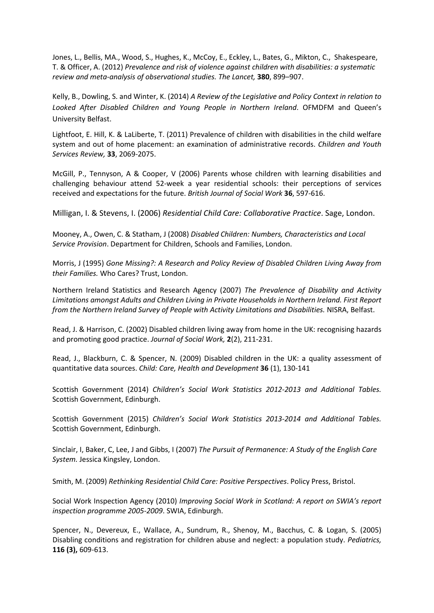Jones, L., Bellis, MA., Wood, S., Hughes, K., McCoy, E., Eckley, L., Bates, G., Mikton, C., Shakespeare, T. & Officer, A. (2012) *Prevalence and risk of violence against children with disabilities: a systematic review and meta-analysis of observational studies. The Lancet,* **380**, 899–907.

Kelly, B., Dowling, S. and Winter, K. (2014) *A Review of the Legislative and Policy Context in relation to Looked After Disabled Children and Young People in Northern Ireland*. OFMDFM and Queen's University Belfast.

Lightfoot, E. Hill, K. & LaLiberte, T. (2011) Prevalence of children with disabilities in the child welfare system and out of home placement: an examination of administrative records. *Children and Youth Services Review,* **33**, 2069-2075.

McGill, P., Tennyson, A & Cooper, V (2006) Parents whose children with learning disabilities and challenging behaviour attend 52-week a year residential schools: their perceptions of services received and expectations for the future. *British Journal of Social Work* **36**, 597-616.

Milligan, I. & Stevens, I. (2006) *Residential Child Care: Collaborative Practice*. Sage, London.

Mooney, A., Owen, C. & Statham, J (2008) *Disabled Children: Numbers, Characteristics and Local Service Provision*. Department for Children, Schools and Families, London.

Morris, J (1995) *Gone Missing?: A Research and Policy Review of Disabled Children Living Away from their Families.* Who Cares? Trust, London.

Northern Ireland Statistics and Research Agency (2007) *The Prevalence of Disability and Activity Limitations amongst Adults and Children Living in Private Households in Northern Ireland. First Report from the Northern Ireland Survey of People with Activity Limitations and Disabilities.* NISRA, Belfast.

Read, J. & Harrison, C. (2002) Disabled children living away from home in the UK: recognising hazards and promoting good practice. *Journal of Social Work,* **2**(2), 211-231.

Read, J., Blackburn, C. & Spencer, N. (2009) Disabled children in the UK: a quality assessment of quantitative data sources. *Child: Care, Health and Development* **36** (1), 130-141

Scottish Government (2014) *Children's Social Work Statistics 2012-2013 and Additional Tables.* Scottish Government, Edinburgh.

Scottish Government (2015) *Children's Social Work Statistics 2013-2014 and Additional Tables.* Scottish Government, Edinburgh.

Sinclair, I, Baker, C, Lee, J and Gibbs, I (2007) *The Pursuit of Permanence: A Study of the English Care System.* Jessica Kingsley, London.

Smith, M. (2009) *Rethinking Residential Child Care: Positive Perspectives*. Policy Press, Bristol.

Social Work Inspection Agency (2010) *Improving Social Work in Scotland: A report on SWIA's report inspection programme 2005-2009*. SWIA, Edinburgh.

Spencer, N., Devereux, E., Wallace, A., Sundrum, R., Shenoy, M., Bacchus, C. & Logan, S. (2005) Disabling conditions and registration for children abuse and neglect: a population study. *Pediatrics,* **116 (3),** 609-613.